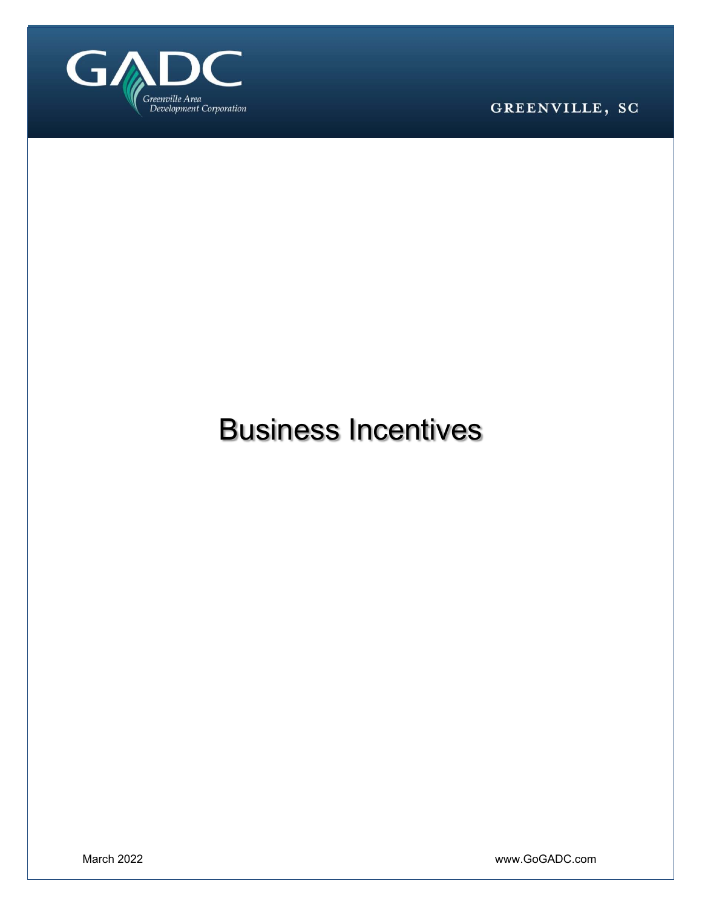

GREENVILLE, SC

# Business Incentives

March 2022 www.GoGADC.com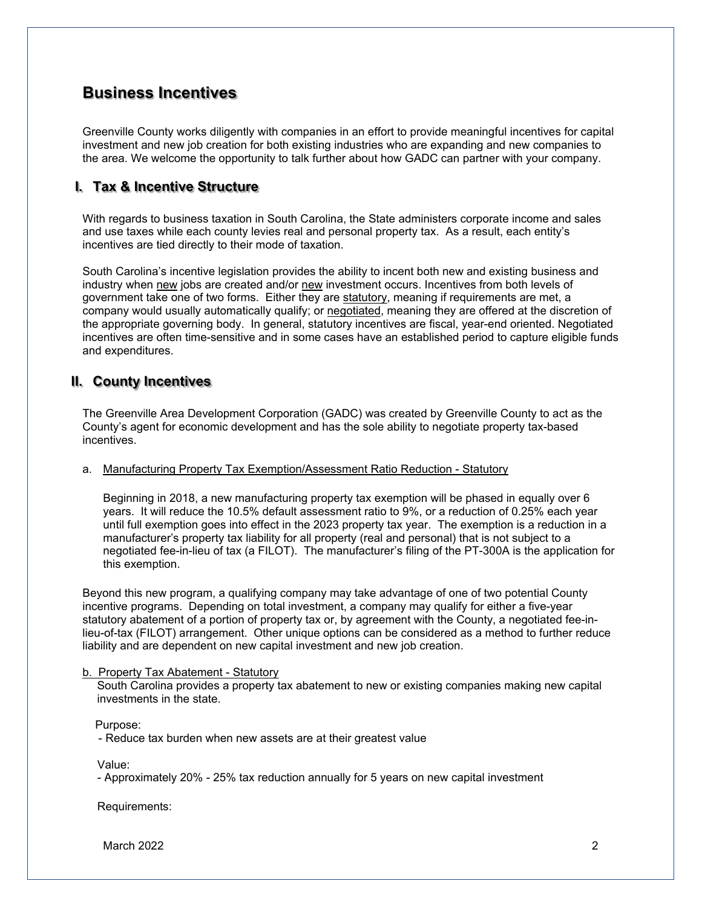# **Business Incentives**

Greenville County works diligently with companies in an effort to provide meaningful incentives for capital investment and new job creation for both existing industries who are expanding and new companies to the area. We welcome the opportunity to talk further about how GADC can partner with your company.

# **I. Tax & Incentive Structure**

With regards to business taxation in South Carolina, the State administers corporate income and sales and use taxes while each county levies real and personal property tax. As a result, each entity's incentives are tied directly to their mode of taxation.

South Carolina's incentive legislation provides the ability to incent both new and existing business and industry when new jobs are created and/or new investment occurs. Incentives from both levels of government take one of two forms. Either they are statutory, meaning if requirements are met, a company would usually automatically qualify; or negotiated, meaning they are offered at the discretion of the appropriate governing body. In general, statutory incentives are fiscal, year-end oriented. Negotiated incentives are often time-sensitive and in some cases have an established period to capture eligible funds and expenditures.

# **II. County Incentives**

The Greenville Area Development Corporation (GADC) was created by Greenville County to act as the County's agent for economic development and has the sole ability to negotiate property tax-based incentives.

## a. Manufacturing Property Tax Exemption/Assessment Ratio Reduction - Statutory

Beginning in 2018, a new manufacturing property tax exemption will be phased in equally over 6 years. It will reduce the 10.5% default assessment ratio to 9%, or a reduction of 0.25% each year until full exemption goes into effect in the 2023 property tax year. The exemption is a reduction in a manufacturer's property tax liability for all property (real and personal) that is not subject to a negotiated fee-in-lieu of tax (a FILOT). The manufacturer's filing of the PT-300A is the application for this exemption.

Beyond this new program, a qualifying company may take advantage of one of two potential County incentive programs. Depending on total investment, a company may qualify for either a five-year statutory abatement of a portion of property tax or, by agreement with the County, a negotiated fee-inlieu-of-tax (FILOT) arrangement. Other unique options can be considered as a method to further reduce liability and are dependent on new capital investment and new job creation.

## b. Property Tax Abatement - Statutory

South Carolina provides a property tax abatement to new or existing companies making new capital investments in the state.

Purpose:

- Reduce tax burden when new assets are at their greatest value

Value:

- Approximately 20% - 25% tax reduction annually for 5 years on new capital investment

Requirements:

March 2022 2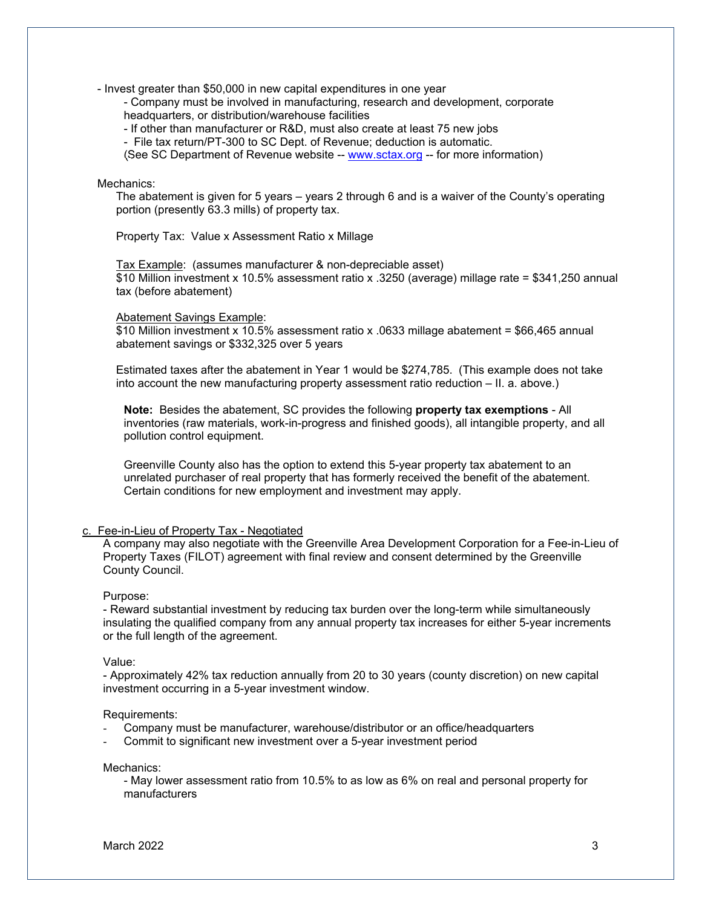- Invest greater than \$50,000 in new capital expenditures in one year

- Company must be involved in manufacturing, research and development, corporate headquarters, or distribution/warehouse facilities

- If other than manufacturer or R&D, must also create at least 75 new jobs

- File tax return/PT-300 to SC Dept. of Revenue; deduction is automatic.

(See SC Department of Revenue website -- www.sctax.org -- for more information)

#### Mechanics:

The abatement is given for 5 years – years 2 through 6 and is a waiver of the County's operating portion (presently 63.3 mills) of property tax.

Property Tax: Value x Assessment Ratio x Millage

Tax Example: (assumes manufacturer & non-depreciable asset) \$10 Million investment x 10.5% assessment ratio x .3250 (average) millage rate = \$341,250 annual tax (before abatement)

#### Abatement Savings Example:

\$10 Million investment x 10.5% assessment ratio x .0633 millage abatement = \$66,465 annual abatement savings or \$332,325 over 5 years

Estimated taxes after the abatement in Year 1 would be \$274,785. (This example does not take into account the new manufacturing property assessment ratio reduction – II. a. above.)

**Note:** Besides the abatement, SC provides the following **property tax exemptions** - All inventories (raw materials, work-in-progress and finished goods), all intangible property, and all pollution control equipment.

Greenville County also has the option to extend this 5-year property tax abatement to an unrelated purchaser of real property that has formerly received the benefit of the abatement. Certain conditions for new employment and investment may apply.

#### c. Fee-in-Lieu of Property Tax - Negotiated

A company may also negotiate with the Greenville Area Development Corporation for a Fee-in-Lieu of Property Taxes (FILOT) agreement with final review and consent determined by the Greenville County Council.

#### Purpose:

- Reward substantial investment by reducing tax burden over the long-term while simultaneously insulating the qualified company from any annual property tax increases for either 5-year increments or the full length of the agreement.

#### Value:

- Approximately 42% tax reduction annually from 20 to 30 years (county discretion) on new capital investment occurring in a 5-year investment window.

#### Requirements:

- Company must be manufacturer, warehouse/distributor or an office/headquarters
- Commit to significant new investment over a 5-year investment period

#### Mechanics:

- May lower assessment ratio from 10.5% to as low as 6% on real and personal property for manufacturers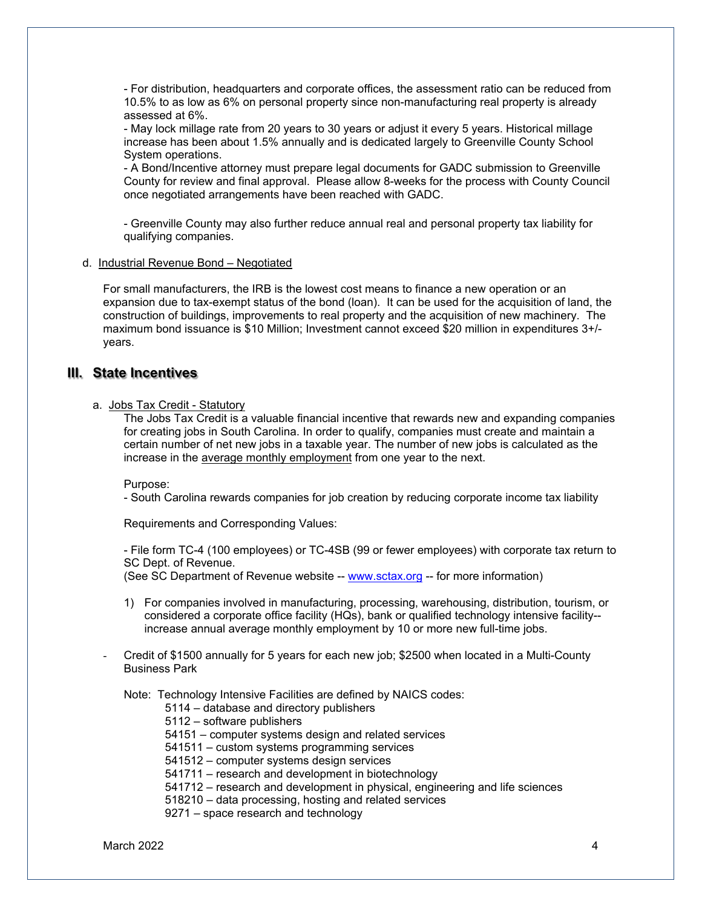- For distribution, headquarters and corporate offices, the assessment ratio can be reduced from 10.5% to as low as 6% on personal property since non-manufacturing real property is already assessed at 6%.

- May lock millage rate from 20 years to 30 years or adjust it every 5 years. Historical millage increase has been about 1.5% annually and is dedicated largely to Greenville County School System operations.

- A Bond/Incentive attorney must prepare legal documents for GADC submission to Greenville County for review and final approval. Please allow 8-weeks for the process with County Council once negotiated arrangements have been reached with GADC.

- Greenville County may also further reduce annual real and personal property tax liability for qualifying companies.

#### d. Industrial Revenue Bond – Negotiated

For small manufacturers, the IRB is the lowest cost means to finance a new operation or an expansion due to tax-exempt status of the bond (loan). It can be used for the acquisition of land, the construction of buildings, improvements to real property and the acquisition of new machinery. The maximum bond issuance is \$10 Million; Investment cannot exceed \$20 million in expenditures 3+/ years.

## **III. State Incentives**

## a. Jobs Tax Credit - Statutory

The Jobs Tax Credit is a valuable financial incentive that rewards new and expanding companies for creating jobs in South Carolina. In order to qualify, companies must create and maintain a certain number of net new jobs in a taxable year. The number of new jobs is calculated as the increase in the average monthly employment from one year to the next.

Purpose:

- South Carolina rewards companies for job creation by reducing corporate income tax liability

Requirements and Corresponding Values:

- File form TC-4 (100 employees) or TC-4SB (99 or fewer employees) with corporate tax return to SC Dept. of Revenue.

(See SC Department of Revenue website -- www.sctax.org -- for more information)

- 1) For companies involved in manufacturing, processing, warehousing, distribution, tourism, or considered a corporate office facility (HQs), bank or qualified technology intensive facility- increase annual average monthly employment by 10 or more new full-time jobs.
- Credit of \$1500 annually for 5 years for each new job; \$2500 when located in a Multi-County Business Park

Note: Technology Intensive Facilities are defined by NAICS codes:

- 5114 database and directory publishers
- 5112 software publishers
- 54151 computer systems design and related services
- 541511 custom systems programming services
- 541512 computer systems design services
- 541711 research and development in biotechnology
- 541712 research and development in physical, engineering and life sciences
- 518210 data processing, hosting and related services
- 9271 space research and technology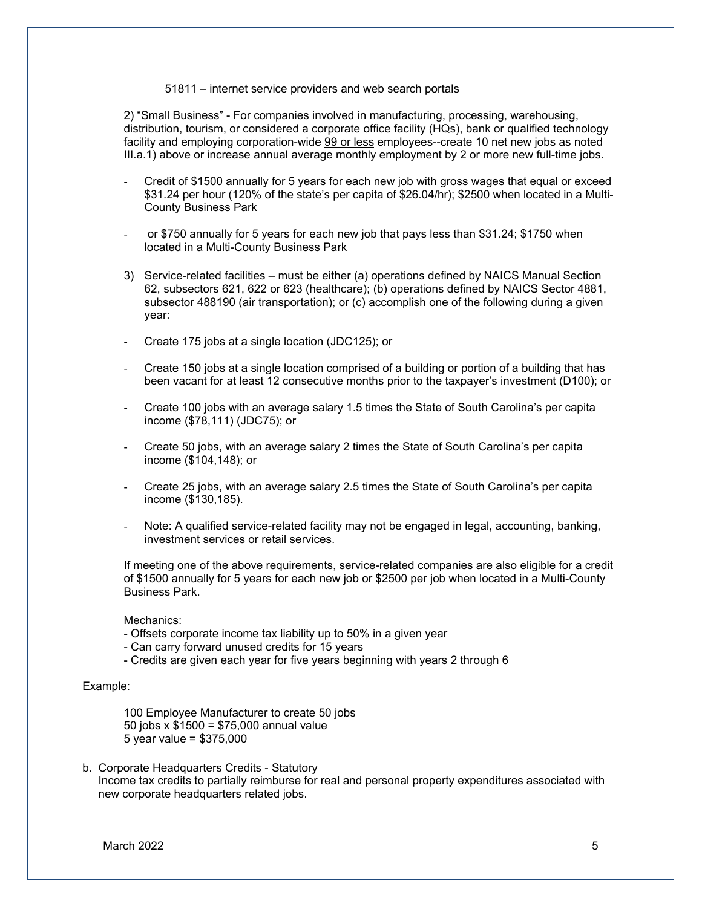#### 51811 – internet service providers and web search portals

2) "Small Business" - For companies involved in manufacturing, processing, warehousing, distribution, tourism, or considered a corporate office facility (HQs), bank or qualified technology facility and employing corporation-wide 99 or less employees--create 10 net new jobs as noted III.a.1) above or increase annual average monthly employment by 2 or more new full-time jobs.

- Credit of \$1500 annually for 5 years for each new job with gross wages that equal or exceed \$31.24 per hour (120% of the state's per capita of \$26.04/hr); \$2500 when located in a Multi-County Business Park
- or \$750 annually for 5 years for each new job that pays less than \$31.24; \$1750 when located in a Multi-County Business Park
- 3) Service-related facilities must be either (a) operations defined by NAICS Manual Section 62, subsectors 621, 622 or 623 (healthcare); (b) operations defined by NAICS Sector 4881, subsector 488190 (air transportation); or (c) accomplish one of the following during a given year:
- Create 175 jobs at a single location (JDC125); or
- Create 150 jobs at a single location comprised of a building or portion of a building that has been vacant for at least 12 consecutive months prior to the taxpayer's investment (D100); or
- Create 100 jobs with an average salary 1.5 times the State of South Carolina's per capita income (\$78,111) (JDC75); or
- Create 50 jobs, with an average salary 2 times the State of South Carolina's per capita income (\$104,148); or
- Create 25 jobs, with an average salary 2.5 times the State of South Carolina's per capita income (\$130,185).
- Note: A qualified service-related facility may not be engaged in legal, accounting, banking, investment services or retail services.

If meeting one of the above requirements, service-related companies are also eligible for a credit of \$1500 annually for 5 years for each new job or \$2500 per job when located in a Multi-County Business Park.

Mechanics:

- Offsets corporate income tax liability up to 50% in a given year
- Can carry forward unused credits for 15 years
- Credits are given each year for five years beginning with years 2 through 6

#### Example:

 100 Employee Manufacturer to create 50 jobs 50 jobs x \$1500 = \$75,000 annual value 5 year value = \$375,000

b. Corporate Headquarters Credits - Statutory Income tax credits to partially reimburse for real and personal property expenditures associated with new corporate headquarters related jobs.